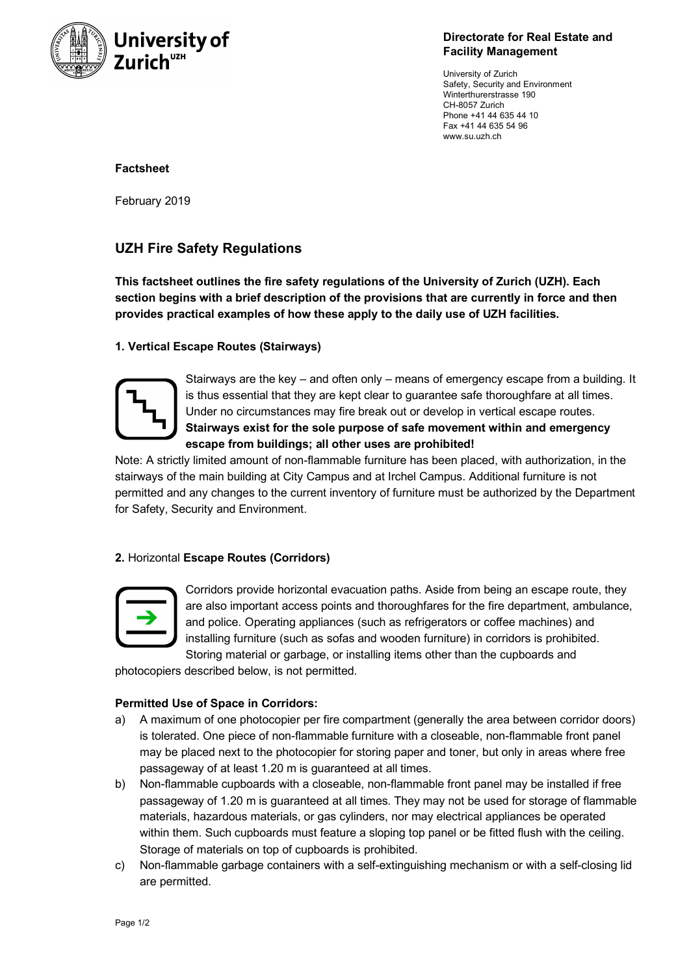

**Directorate for Real Estate and Facility Management**

University of Zurich Safety, Security and Environment Winterthurerstrasse 190 CH-8057 Zurich Phone +41 44 635 44 10 Fax +41 44 635 54 96 www.su.uzh.ch

#### **Factsheet**

February 2019

# **UZH Fire Safety Regulations**

**This factsheet outlines the fire safety regulations of the University of Zurich (UZH). Each section begins with a brief description of the provisions that are currently in force and then provides practical examples of how these apply to the daily use of UZH facilities.**

## **1. Vertical Escape Routes (Stairways)**



Stairways are the key – and often only – means of emergency escape from a building. It is thus essential that they are kept clear to guarantee safe thoroughfare at all times. Under no circumstances may fire break out or develop in vertical escape routes. **Stairways exist for the sole purpose of safe movement within and emergency escape from buildings; all other uses are prohibited!**

Note: A strictly limited amount of non-flammable furniture has been placed, with authorization, in the stairways of the main building at City Campus and at Irchel Campus. Additional furniture is not permitted and any changes to the current inventory of furniture must be authorized by the Department for Safety, Security and Environment.

# **2.** Horizontal **Escape Routes (Corridors)**



Corridors provide horizontal evacuation paths. Aside from being an escape route, they are also important access points and thoroughfares for the fire department, ambulance, and police. Operating appliances (such as refrigerators or coffee machines) and installing furniture (such as sofas and wooden furniture) in corridors is prohibited. Storing material or garbage, or installing items other than the cupboards and

photocopiers described below, is not permitted.

#### **Permitted Use of Space in Corridors:**

- a) A maximum of one photocopier per fire compartment (generally the area between corridor doors) is tolerated. One piece of non-flammable furniture with a closeable, non-flammable front panel may be placed next to the photocopier for storing paper and toner, but only in areas where free passageway of at least 1.20 m is guaranteed at all times.
- b) Non-flammable cupboards with a closeable, non-flammable front panel may be installed if free passageway of 1.20 m is guaranteed at all times. They may not be used for storage of flammable materials, hazardous materials, or gas cylinders, nor may electrical appliances be operated within them. Such cupboards must feature a sloping top panel or be fitted flush with the ceiling. Storage of materials on top of cupboards is prohibited.
- c) Non-flammable garbage containers with a self-extinguishing mechanism or with a self-closing lid are permitted.